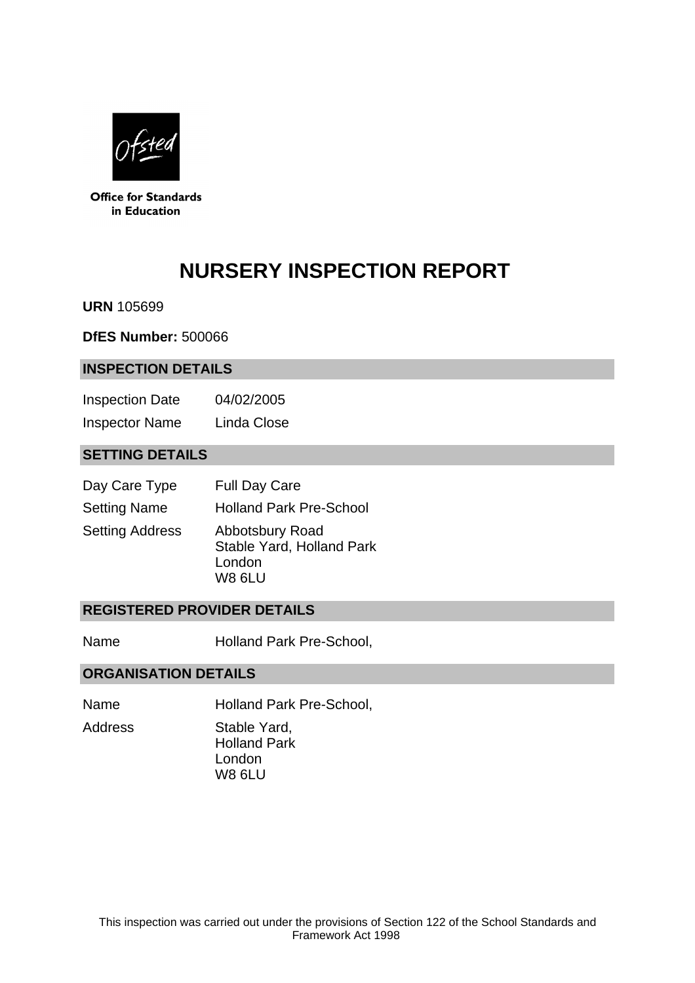

**Office for Standards** in Education

# **NURSERY INSPECTION REPORT**

**URN** 105699

**DfES Number:** 500066

#### **INSPECTION DETAILS**

Inspection Date 04/02/2005 Inspector Name Linda Close

## **SETTING DETAILS**

| Day Care Type          | <b>Full Day Care</b>                                                    |
|------------------------|-------------------------------------------------------------------------|
| <b>Setting Name</b>    | <b>Holland Park Pre-School</b>                                          |
| <b>Setting Address</b> | Abbotsbury Road<br>Stable Yard, Holland Park<br>London<br><b>W8 6LU</b> |

## **REGISTERED PROVIDER DETAILS**

Name Holland Park Pre-School,

#### **ORGANISATION DETAILS**

Name Holland Park Pre-School,

Address Stable Yard, Holland Park London W8 6LU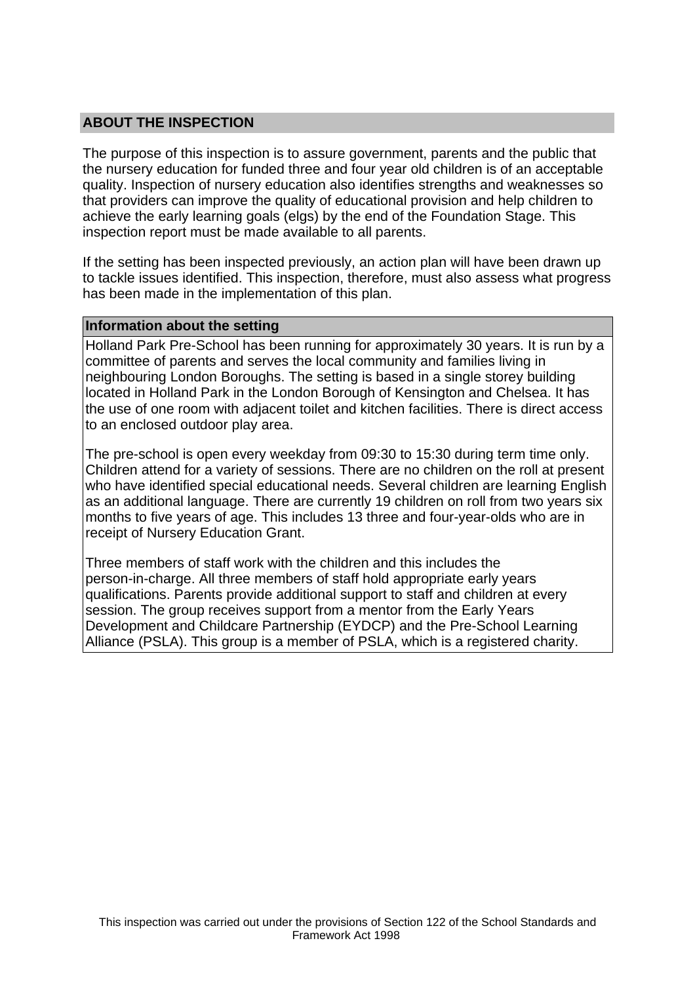## **ABOUT THE INSPECTION**

The purpose of this inspection is to assure government, parents and the public that the nursery education for funded three and four year old children is of an acceptable quality. Inspection of nursery education also identifies strengths and weaknesses so that providers can improve the quality of educational provision and help children to achieve the early learning goals (elgs) by the end of the Foundation Stage. This inspection report must be made available to all parents.

If the setting has been inspected previously, an action plan will have been drawn up to tackle issues identified. This inspection, therefore, must also assess what progress has been made in the implementation of this plan.

#### **Information about the setting**

Holland Park Pre-School has been running for approximately 30 years. It is run by a committee of parents and serves the local community and families living in neighbouring London Boroughs. The setting is based in a single storey building located in Holland Park in the London Borough of Kensington and Chelsea. It has the use of one room with adjacent toilet and kitchen facilities. There is direct access to an enclosed outdoor play area.

The pre-school is open every weekday from 09:30 to 15:30 during term time only. Children attend for a variety of sessions. There are no children on the roll at present who have identified special educational needs. Several children are learning English as an additional language. There are currently 19 children on roll from two years six months to five years of age. This includes 13 three and four-year-olds who are in receipt of Nursery Education Grant.

Three members of staff work with the children and this includes the person-in-charge. All three members of staff hold appropriate early years qualifications. Parents provide additional support to staff and children at every session. The group receives support from a mentor from the Early Years Development and Childcare Partnership (EYDCP) and the Pre-School Learning Alliance (PSLA). This group is a member of PSLA, which is a registered charity.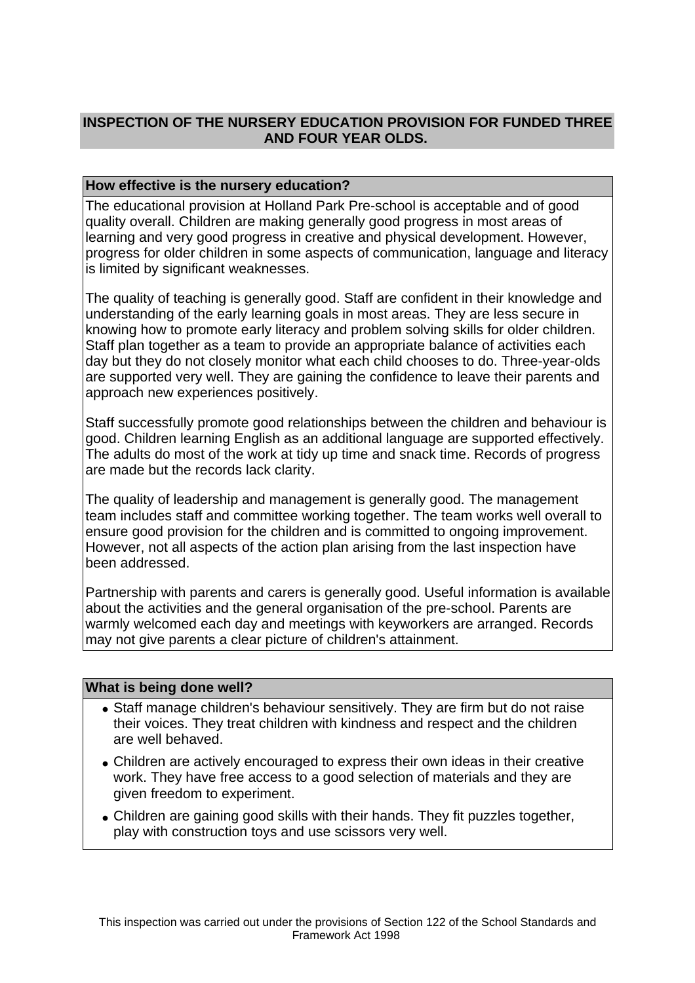# **INSPECTION OF THE NURSERY EDUCATION PROVISION FOR FUNDED THREE AND FOUR YEAR OLDS.**

## **How effective is the nursery education?**

The educational provision at Holland Park Pre-school is acceptable and of good quality overall. Children are making generally good progress in most areas of learning and very good progress in creative and physical development. However, progress for older children in some aspects of communication, language and literacy is limited by significant weaknesses.

The quality of teaching is generally good. Staff are confident in their knowledge and understanding of the early learning goals in most areas. They are less secure in knowing how to promote early literacy and problem solving skills for older children. Staff plan together as a team to provide an appropriate balance of activities each day but they do not closely monitor what each child chooses to do. Three-year-olds are supported very well. They are gaining the confidence to leave their parents and approach new experiences positively.

Staff successfully promote good relationships between the children and behaviour is good. Children learning English as an additional language are supported effectively. The adults do most of the work at tidy up time and snack time. Records of progress are made but the records lack clarity.

The quality of leadership and management is generally good. The management team includes staff and committee working together. The team works well overall to ensure good provision for the children and is committed to ongoing improvement. However, not all aspects of the action plan arising from the last inspection have been addressed.

Partnership with parents and carers is generally good. Useful information is available about the activities and the general organisation of the pre-school. Parents are warmly welcomed each day and meetings with keyworkers are arranged. Records may not give parents a clear picture of children's attainment.

#### **What is being done well?**

- Staff manage children's behaviour sensitively. They are firm but do not raise their voices. They treat children with kindness and respect and the children are well behaved.
- Children are actively encouraged to express their own ideas in their creative work. They have free access to a good selection of materials and they are given freedom to experiment.
- Children are gaining good skills with their hands. They fit puzzles together, play with construction toys and use scissors very well.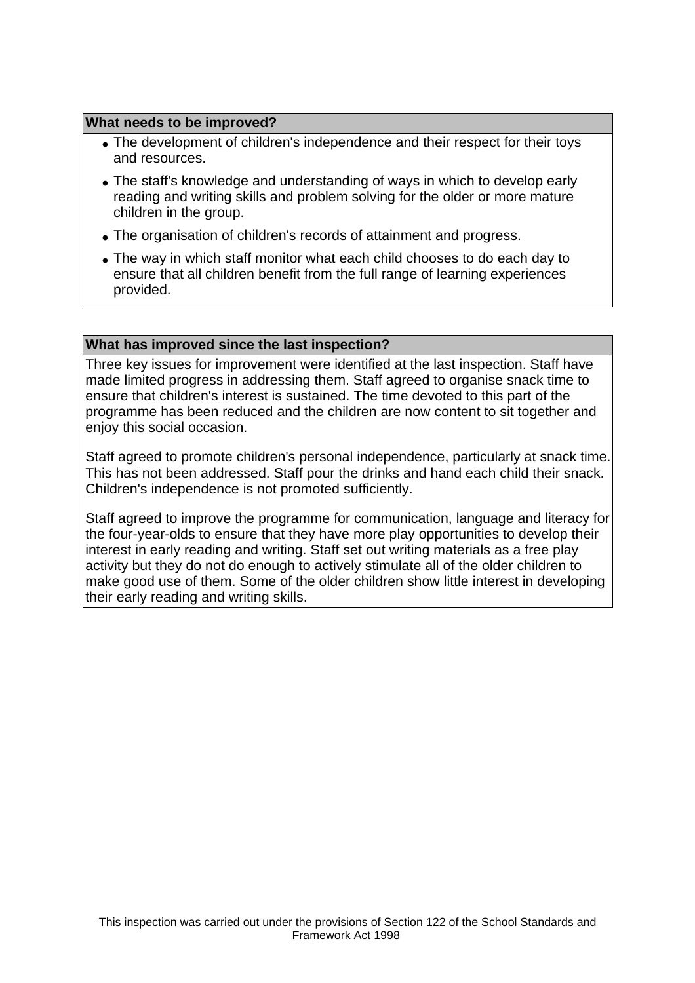### **What needs to be improved?**

- The development of children's independence and their respect for their toys and resources.
- The staff's knowledge and understanding of ways in which to develop early reading and writing skills and problem solving for the older or more mature children in the group.
- The organisation of children's records of attainment and progress.
- The way in which staff monitor what each child chooses to do each day to ensure that all children benefit from the full range of learning experiences provided.

#### **What has improved since the last inspection?**

Three key issues for improvement were identified at the last inspection. Staff have made limited progress in addressing them. Staff agreed to organise snack time to ensure that children's interest is sustained. The time devoted to this part of the programme has been reduced and the children are now content to sit together and enjoy this social occasion.

Staff agreed to promote children's personal independence, particularly at snack time. This has not been addressed. Staff pour the drinks and hand each child their snack. Children's independence is not promoted sufficiently.

Staff agreed to improve the programme for communication, language and literacy for the four-year-olds to ensure that they have more play opportunities to develop their interest in early reading and writing. Staff set out writing materials as a free play activity but they do not do enough to actively stimulate all of the older children to make good use of them. Some of the older children show little interest in developing their early reading and writing skills.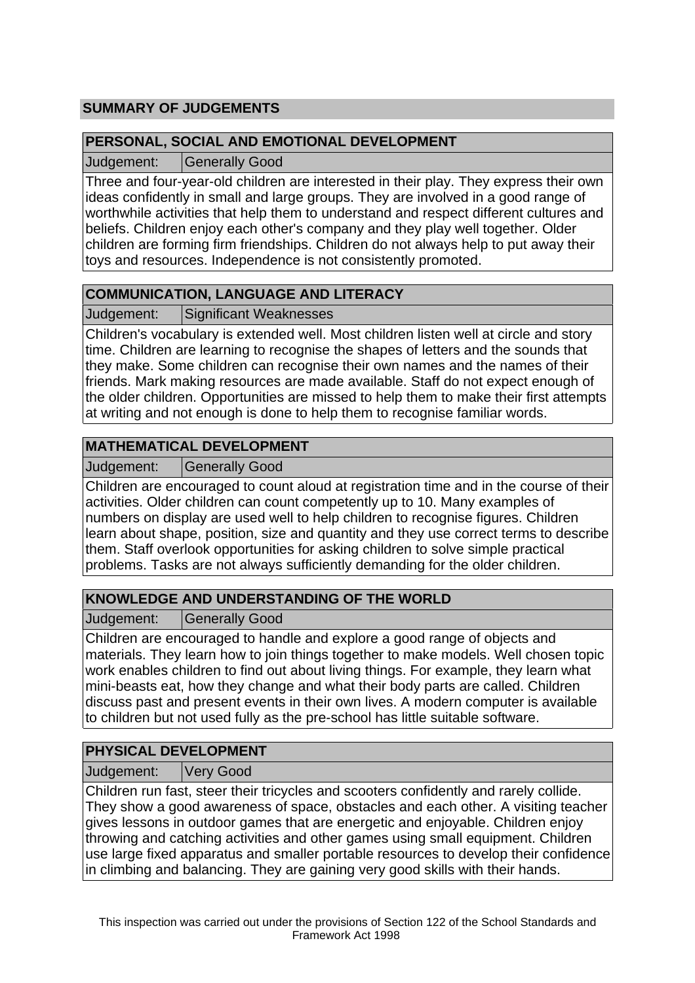# **SUMMARY OF JUDGEMENTS**

## **PERSONAL, SOCIAL AND EMOTIONAL DEVELOPMENT**

Judgement: Generally Good

Three and four-year-old children are interested in their play. They express their own ideas confidently in small and large groups. They are involved in a good range of worthwhile activities that help them to understand and respect different cultures and beliefs. Children enjoy each other's company and they play well together. Older children are forming firm friendships. Children do not always help to put away their toys and resources. Independence is not consistently promoted.

# **COMMUNICATION, LANGUAGE AND LITERACY**

Judgement: Significant Weaknesses

Children's vocabulary is extended well. Most children listen well at circle and story time. Children are learning to recognise the shapes of letters and the sounds that they make. Some children can recognise their own names and the names of their friends. Mark making resources are made available. Staff do not expect enough of the older children. Opportunities are missed to help them to make their first attempts at writing and not enough is done to help them to recognise familiar words.

# **MATHEMATICAL DEVELOPMENT**

Judgement: | Generally Good

Children are encouraged to count aloud at registration time and in the course of their activities. Older children can count competently up to 10. Many examples of numbers on display are used well to help children to recognise figures. Children learn about shape, position, size and quantity and they use correct terms to describe them. Staff overlook opportunities for asking children to solve simple practical problems. Tasks are not always sufficiently demanding for the older children.

# **KNOWLEDGE AND UNDERSTANDING OF THE WORLD**

Judgement: Generally Good

Children are encouraged to handle and explore a good range of objects and materials. They learn how to join things together to make models. Well chosen topic work enables children to find out about living things. For example, they learn what mini-beasts eat, how they change and what their body parts are called. Children discuss past and present events in their own lives. A modern computer is available to children but not used fully as the pre-school has little suitable software.

# **PHYSICAL DEVELOPMENT**

Judgement: Very Good

Children run fast, steer their tricycles and scooters confidently and rarely collide. They show a good awareness of space, obstacles and each other. A visiting teacher gives lessons in outdoor games that are energetic and enjoyable. Children enjoy throwing and catching activities and other games using small equipment. Children use large fixed apparatus and smaller portable resources to develop their confidence in climbing and balancing. They are gaining very good skills with their hands.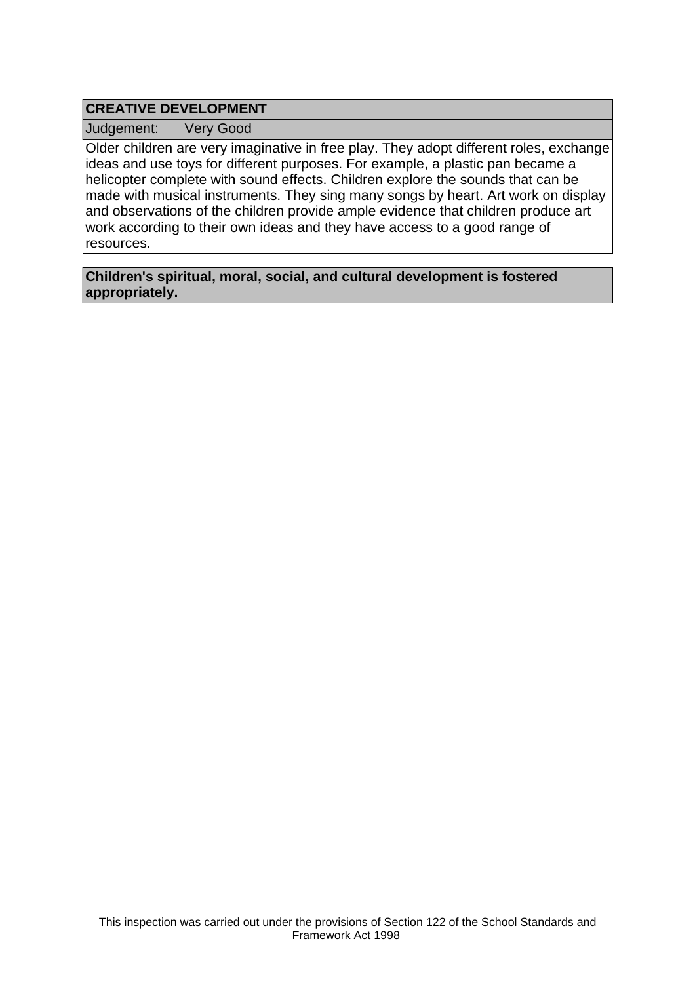# **CREATIVE DEVELOPMENT**

Judgement: Very Good

Older children are very imaginative in free play. They adopt different roles, exchange ideas and use toys for different purposes. For example, a plastic pan became a helicopter complete with sound effects. Children explore the sounds that can be made with musical instruments. They sing many songs by heart. Art work on display and observations of the children provide ample evidence that children produce art work according to their own ideas and they have access to a good range of resources.

**Children's spiritual, moral, social, and cultural development is fostered appropriately.**